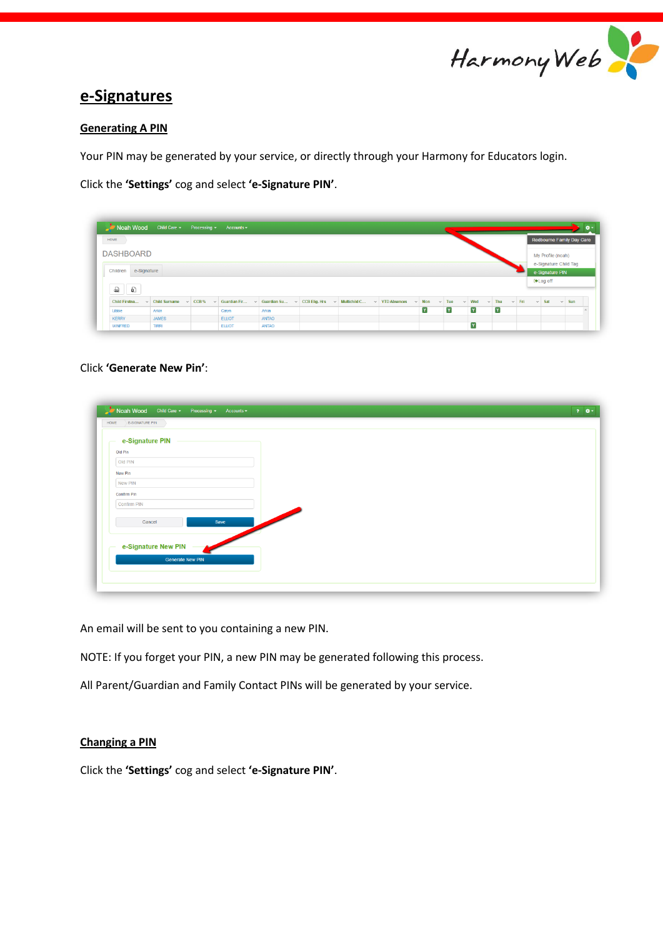

# **e-Signatures**

### **Generating A PIN**

Your PIN may be generated by your service, or directly through your Harmony for Educators login.

Click the **'Settings'** cog and select **'e-Signature PIN'**.

| Noah Wood Child Care - Processing - Accounts - |                                                |               |              |                                                                                        |   |   |              |              |            |                 |                           |            |  |
|------------------------------------------------|------------------------------------------------|---------------|--------------|----------------------------------------------------------------------------------------|---|---|--------------|--------------|------------|-----------------|---------------------------|------------|--|
| HOME                                           |                                                |               |              |                                                                                        |   |   |              |              |            |                 | Redbourne Family Day Care |            |  |
| <b>DASHBOARD</b>                               |                                                |               |              |                                                                                        |   |   |              |              |            |                 | My Profile (noah)         |            |  |
|                                                |                                                |               |              |                                                                                        |   |   |              |              |            |                 | e-Signature Child Tag     |            |  |
| Children e-Signature                           |                                                |               |              |                                                                                        |   |   |              |              |            |                 | e-Signature PIN           |            |  |
|                                                |                                                |               |              |                                                                                        |   |   |              |              |            | <b>⊕Log off</b> |                           |            |  |
|                                                |                                                |               |              |                                                                                        |   |   |              |              |            |                 |                           |            |  |
|                                                | Child Firstna $\vee$ Child Surname $\vee$ CCB% |               |              | V Guardian Fir V Guardian Su V CCB Elig. Hrs V Multichild C V YTD Absences V Mon V Tue |   |   | $\vee$ Wed   | $\vee$ Thu   | $\vee$ Fri | $\vee$ Sat      |                           | $\vee$ Sun |  |
| Libbie                                         | Arkin                                          | Caryn         | Arkin        |                                                                                        | Y | Y | $\mathbf{Y}$ | $\mathbf{Y}$ |            |                 |                           |            |  |
| <b>KERRY</b>                                   | <b>JAMES</b>                                   | <b>ELLIOT</b> | <b>ANTAO</b> |                                                                                        |   |   |              |              |            |                 |                           |            |  |
|                                                | <b>TIRRI</b>                                   | <b>ELLIOT</b> | <b>ANTAO</b> |                                                                                        |   |   | Y            |              |            |                 |                           |            |  |

## Click **'Generate New Pin'**:

| e-Signature PIN<br>Old Pin |  |
|----------------------------|--|
| Old PIN                    |  |
| New Pin                    |  |
| New PIN                    |  |
| Confirm Pin                |  |
| Confirm PIN                |  |
| Save<br>Cancel             |  |
|                            |  |
| e-Signature New PIN        |  |

An email will be sent to you containing a new PIN.

NOTE: If you forget your PIN, a new PIN may be generated following this process.

All Parent/Guardian and Family Contact PINs will be generated by your service.

# **Changing a PIN**

Click the **'Settings'** cog and select **'e-Signature PIN'**.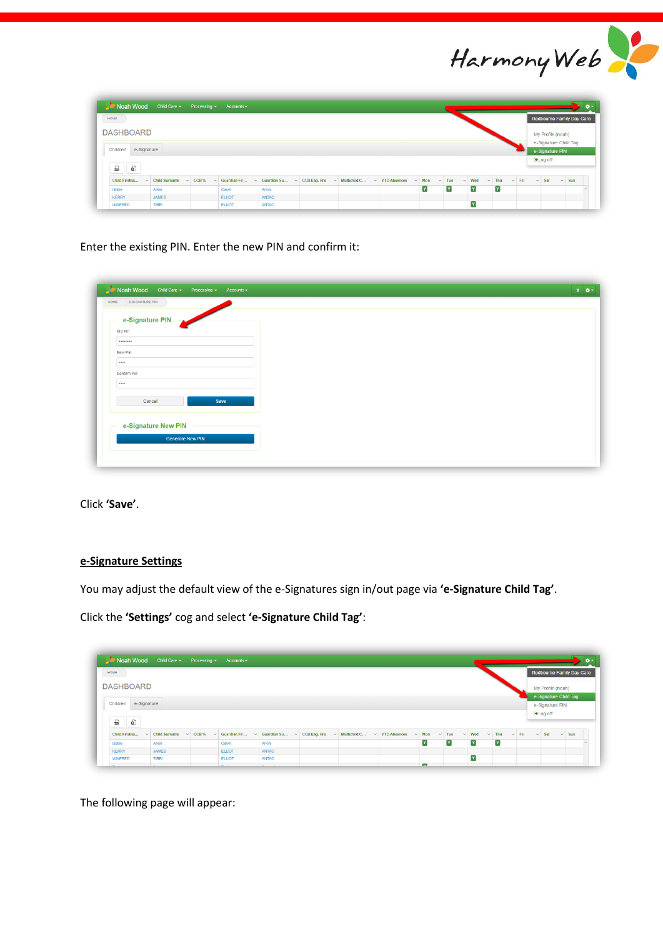

| HOME                 |                                                                                                               |               |              |  |   |   |                       |   |                       |                  | Redbourne Family Day Care |            |
|----------------------|---------------------------------------------------------------------------------------------------------------|---------------|--------------|--|---|---|-----------------------|---|-----------------------|------------------|---------------------------|------------|
| <b>DASHBOARD</b>     |                                                                                                               |               |              |  |   |   |                       |   |                       |                  | My Profile (noah)         |            |
|                      |                                                                                                               |               |              |  |   |   |                       |   |                       |                  | e-Signature Child Tag     |            |
| Children e-Signature |                                                                                                               |               |              |  |   |   |                       |   |                       |                  | e-Signature PIN           |            |
|                      |                                                                                                               |               |              |  |   |   |                       |   |                       | <b>⊕</b> Log off |                           |            |
|                      |                                                                                                               |               |              |  |   |   |                       |   |                       |                  |                           |            |
| €<br>- ම             |                                                                                                               |               |              |  |   |   |                       |   |                       |                  |                           |            |
| Child Firstna        | V Child Surname v CCB% v Guardian Fir v Guardian Su v CCB Elig. Hrs v Multichild C v YTD Absences v Mon v Tue |               |              |  |   |   | $\vee$ Wed $\vee$ Thu |   | $\vee$ Fri $\vee$ Sat |                  |                           | $\vee$ Sun |
| Libbie               | Arkin                                                                                                         | Caryn         | Arkin        |  | Y | Y | Y                     | Y |                       |                  |                           |            |
| <b>KERRY</b>         | <b>JAMES</b>                                                                                                  | <b>ELLIOT</b> | <b>ANTAO</b> |  |   |   |                       |   |                       |                  |                           |            |

Enter the existing PIN. Enter the new PIN and confirm it:

| e-Signature PIN     |      |  |
|---------------------|------|--|
| Old Pin             |      |  |
|                     |      |  |
| New Pin             |      |  |
|                     |      |  |
| <b>Confirm Pin</b>  |      |  |
| 1.1.1.1             |      |  |
| Cancel              | Save |  |
|                     |      |  |
|                     |      |  |
| e-Signature New PIN |      |  |

Click **'Save'**.

## **e-Signature Settings**

You may adjust the default view of the e-Signatures sign in/out page via **'e-Signature Child Tag'**.

Click the **'Settings'** cog and select **'e-Signature Child Tag'**:

| HOME                    |                 |                |               |                                                                          |  |                     |            |            |            |            |            |                 | Redbourne Family Day Care |            |  |
|-------------------------|-----------------|----------------|---------------|--------------------------------------------------------------------------|--|---------------------|------------|------------|------------|------------|------------|-----------------|---------------------------|------------|--|
| <b>DASHBOARD</b>        |                 |                |               |                                                                          |  |                     |            |            |            |            |            |                 | My Profile (noah)         |            |  |
|                         |                 |                |               |                                                                          |  |                     |            |            |            |            |            |                 | e-Signature Child Tag     |            |  |
| e-Signature<br>Children |                 |                |               |                                                                          |  |                     |            |            |            |            |            |                 | e-Signature PIN           |            |  |
|                         |                 |                |               |                                                                          |  |                     |            |            |            |            |            |                 |                           |            |  |
|                         |                 |                |               |                                                                          |  |                     |            |            |            |            |            | <b>⊕Log off</b> |                           |            |  |
| €<br>a                  |                 |                |               |                                                                          |  |                     |            |            |            |            |            |                 |                           |            |  |
| Child Firstna<br>$\sim$ | Child Surname v | CCB%<br>$\sim$ |               | Guardian Fir $\vee$ Guardian Su $\vee$ CCB Elig. Hrs $\vee$ Multichild C |  | $\vee$ YTD Absences | $\sim$ Mon | $\vee$ Tue | $\vee$ Wed | $\vee$ Thu | $\vee$ Fri | $\vee$ Sat      |                           | $\vee$ Sun |  |
| Libbie                  | Arkin           |                | Caryn         | Arkin                                                                    |  |                     | Y          | Y          | Y          | Y          |            |                 |                           |            |  |
| <b>KERRY</b>            | <b>JAMES</b>    |                | <b>ELLIOT</b> | ANTAO                                                                    |  |                     |            |            |            |            |            |                 |                           |            |  |
| <b>WINFRED</b>          | <b>TIRRI</b>    |                | <b>ELLIOT</b> | <b>ANTAO</b>                                                             |  |                     |            |            | Y          |            |            |                 |                           |            |  |

The following page will appear: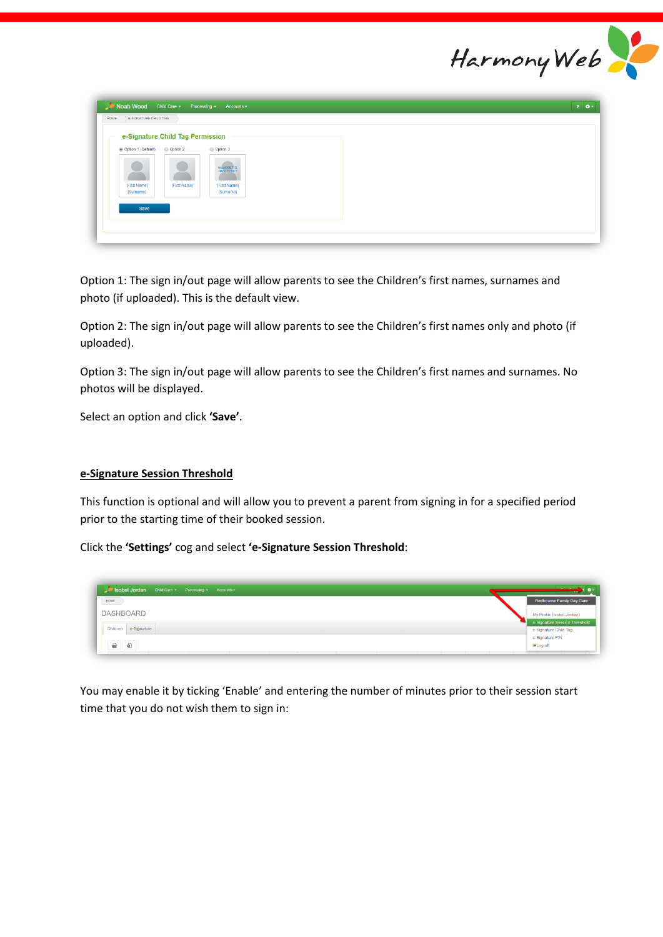

| e-Signature Child Tag Permission<br>Option 3<br>Option 1 (Default)<br>Option 2<br>SILHOUETTE<br>[First Name]<br>[First Name]<br>[First Name]<br>[Surname]<br>[Surname] | E-SIGNATURE CHILD TAG<br>HOME |  |
|------------------------------------------------------------------------------------------------------------------------------------------------------------------------|-------------------------------|--|
|                                                                                                                                                                        |                               |  |
|                                                                                                                                                                        | Save                          |  |

Option 1: The sign in/out page will allow parents to see the Children's first names, surnames and photo (if uploaded). This is the default view.

Option 2: The sign in/out page will allow parents to see the Children's first names only and photo (if uploaded).

Option 3: The sign in/out page will allow parents to see the Children's first names and surnames. No photos will be displayed.

Select an option and click **'Save'**.

### **e-Signature Session Threshold**

This function is optional and will allow you to prevent a parent from signing in for a specified period prior to the starting time of their booked session.

Click the **'Settings'** cog and select **'e-Signature Session Threshold**:

| Isobel Jordan Child Care + Processing + Accounts +         |                                  |
|------------------------------------------------------------|----------------------------------|
| HOME                                                       | <b>Redbourne Family Day Care</b> |
| <b>DASHBOARD</b>                                           | My Profile (Isobel.Jordan)       |
|                                                            | e-Signature Session Threshold    |
| Children e-Signature                                       | e-Signature Child Tag            |
|                                                            | e-Signature PIN                  |
| $\begin{matrix} 0 & \cdots & \cdots & \cdots \end{matrix}$ | <b>⊕Log off</b>                  |

You may enable it by ticking 'Enable' and entering the number of minutes prior to their session start time that you do not wish them to sign in: